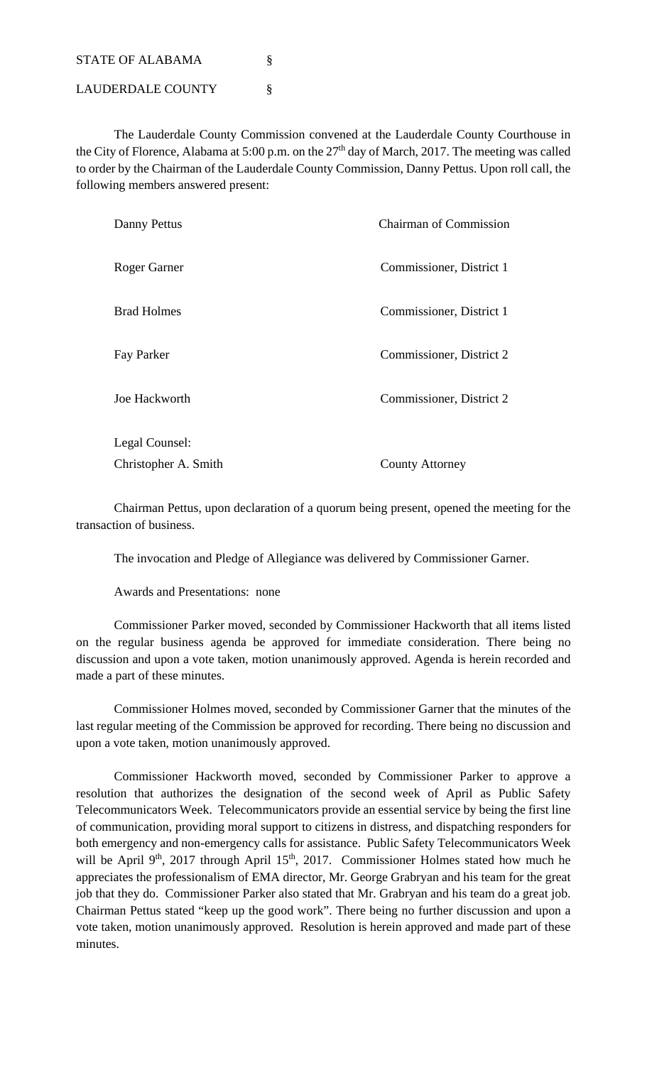STATE OF ALABAMA

LAUDERDALE COUNTY §

 The Lauderdale County Commission convened at the Lauderdale County Courthouse in the City of Florence, Alabama at 5:00 p.m. on the  $27<sup>th</sup>$  day of March, 2017. The meeting was called to order by the Chairman of the Lauderdale County Commission, Danny Pettus. Upon roll call, the following members answered present:

| Danny Pettus         | <b>Chairman of Commission</b> |
|----------------------|-------------------------------|
| Roger Garner         | Commissioner, District 1      |
| <b>Brad Holmes</b>   | Commissioner, District 1      |
| Fay Parker           | Commissioner, District 2      |
| Joe Hackworth        | Commissioner, District 2      |
| Legal Counsel:       |                               |
| Christopher A. Smith | <b>County Attorney</b>        |

 Chairman Pettus, upon declaration of a quorum being present, opened the meeting for the transaction of business.

The invocation and Pledge of Allegiance was delivered by Commissioner Garner.

Awards and Presentations: none

 Commissioner Parker moved, seconded by Commissioner Hackworth that all items listed on the regular business agenda be approved for immediate consideration. There being no discussion and upon a vote taken, motion unanimously approved. Agenda is herein recorded and made a part of these minutes.

 Commissioner Holmes moved, seconded by Commissioner Garner that the minutes of the last regular meeting of the Commission be approved for recording. There being no discussion and upon a vote taken, motion unanimously approved.

 Commissioner Hackworth moved, seconded by Commissioner Parker to approve a resolution that authorizes the designation of the second week of April as Public Safety Telecommunicators Week. Telecommunicators provide an essential service by being the first line of communication, providing moral support to citizens in distress, and dispatching responders for both emergency and non-emergency calls for assistance. Public Safety Telecommunicators Week will be April 9<sup>th</sup>, 2017 through April 15<sup>th</sup>, 2017. Commissioner Holmes stated how much he appreciates the professionalism of EMA director, Mr. George Grabryan and his team for the great job that they do. Commissioner Parker also stated that Mr. Grabryan and his team do a great job. Chairman Pettus stated "keep up the good work". There being no further discussion and upon a vote taken, motion unanimously approved. Resolution is herein approved and made part of these minutes.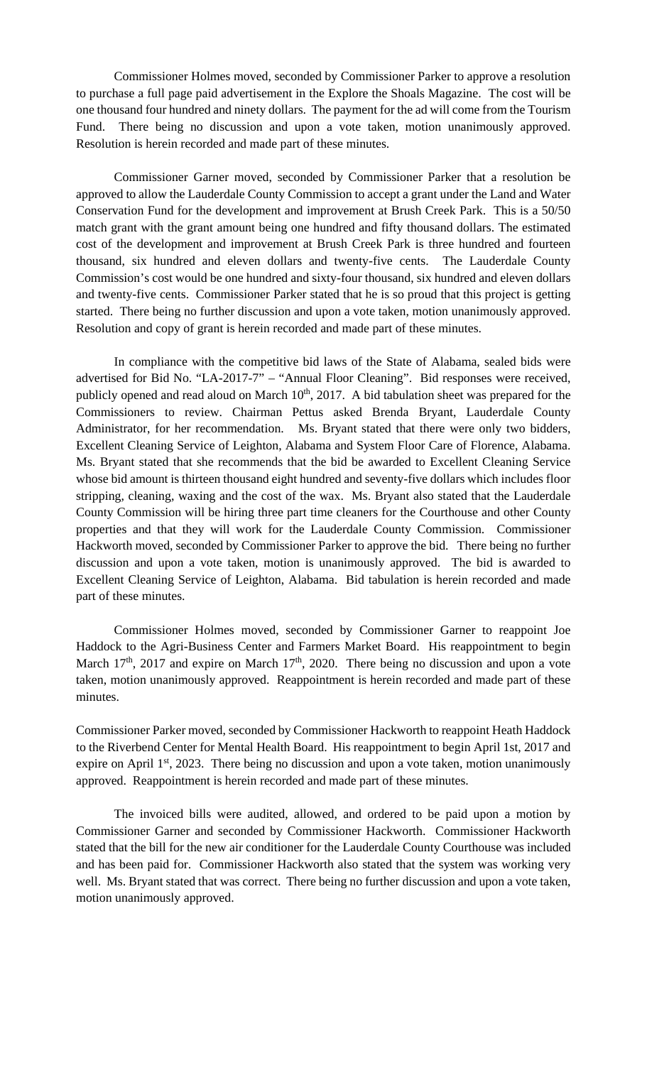Commissioner Holmes moved, seconded by Commissioner Parker to approve a resolution to purchase a full page paid advertisement in the Explore the Shoals Magazine. The cost will be one thousand four hundred and ninety dollars. The payment for the ad will come from the Tourism Fund. There being no discussion and upon a vote taken, motion unanimously approved. Resolution is herein recorded and made part of these minutes.

 Commissioner Garner moved, seconded by Commissioner Parker that a resolution be approved to allow the Lauderdale County Commission to accept a grant under the Land and Water Conservation Fund for the development and improvement at Brush Creek Park. This is a 50/50 match grant with the grant amount being one hundred and fifty thousand dollars. The estimated cost of the development and improvement at Brush Creek Park is three hundred and fourteen thousand, six hundred and eleven dollars and twenty-five cents. The Lauderdale County Commission's cost would be one hundred and sixty-four thousand, six hundred and eleven dollars and twenty-five cents. Commissioner Parker stated that he is so proud that this project is getting started. There being no further discussion and upon a vote taken, motion unanimously approved. Resolution and copy of grant is herein recorded and made part of these minutes.

 In compliance with the competitive bid laws of the State of Alabama, sealed bids were advertised for Bid No. "LA-2017-7" – "Annual Floor Cleaning". Bid responses were received, publicly opened and read aloud on March 10<sup>th</sup>, 2017. A bid tabulation sheet was prepared for the Commissioners to review. Chairman Pettus asked Brenda Bryant, Lauderdale County Administrator, for her recommendation. Ms. Bryant stated that there were only two bidders, Excellent Cleaning Service of Leighton, Alabama and System Floor Care of Florence, Alabama. Ms. Bryant stated that she recommends that the bid be awarded to Excellent Cleaning Service whose bid amount is thirteen thousand eight hundred and seventy-five dollars which includes floor stripping, cleaning, waxing and the cost of the wax. Ms. Bryant also stated that the Lauderdale County Commission will be hiring three part time cleaners for the Courthouse and other County properties and that they will work for the Lauderdale County Commission. Commissioner Hackworth moved, seconded by Commissioner Parker to approve the bid. There being no further discussion and upon a vote taken, motion is unanimously approved. The bid is awarded to Excellent Cleaning Service of Leighton, Alabama. Bid tabulation is herein recorded and made part of these minutes.

 Commissioner Holmes moved, seconded by Commissioner Garner to reappoint Joe Haddock to the Agri-Business Center and Farmers Market Board. His reappointment to begin March  $17<sup>th</sup>$ , 2017 and expire on March  $17<sup>th</sup>$ , 2020. There being no discussion and upon a vote taken, motion unanimously approved. Reappointment is herein recorded and made part of these minutes.

Commissioner Parker moved, seconded by Commissioner Hackworth to reappoint Heath Haddock to the Riverbend Center for Mental Health Board. His reappointment to begin April 1st, 2017 and expire on April  $1<sup>st</sup>$ , 2023. There being no discussion and upon a vote taken, motion unanimously approved. Reappointment is herein recorded and made part of these minutes.

The invoiced bills were audited, allowed, and ordered to be paid upon a motion by Commissioner Garner and seconded by Commissioner Hackworth. Commissioner Hackworth stated that the bill for the new air conditioner for the Lauderdale County Courthouse was included and has been paid for. Commissioner Hackworth also stated that the system was working very well. Ms. Bryant stated that was correct. There being no further discussion and upon a vote taken, motion unanimously approved.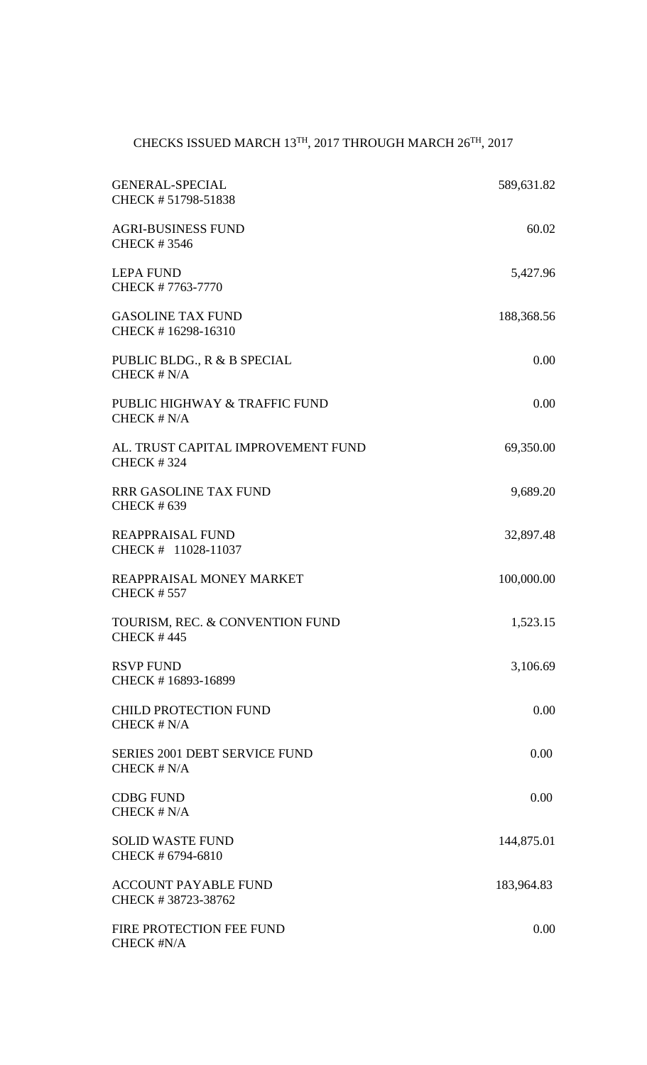## CHECKS ISSUED MARCH  $13^{\text{TH}}$ , 2017 THROUGH MARCH 26TH, 2017

| <b>GENERAL-SPECIAL</b><br>CHECK #51798-51838            | 589,631.82 |
|---------------------------------------------------------|------------|
| <b>AGRI-BUSINESS FUND</b><br><b>CHECK #3546</b>         | 60.02      |
| <b>LEPA FUND</b><br>CHECK #7763-7770                    | 5,427.96   |
| <b>GASOLINE TAX FUND</b><br>CHECK #16298-16310          | 188,368.56 |
| PUBLIC BLDG., R & B SPECIAL<br>CHECK $# N/A$            | 0.00       |
| PUBLIC HIGHWAY & TRAFFIC FUND<br>CHECK # N/A            | 0.00       |
| AL. TRUST CAPITAL IMPROVEMENT FUND<br><b>CHECK #324</b> | 69,350.00  |
| <b>RRR GASOLINE TAX FUND</b><br><b>CHECK #639</b>       | 9,689.20   |
| <b>REAPPRAISAL FUND</b><br>CHECK # 11028-11037          | 32,897.48  |
| REAPPRAISAL MONEY MARKET<br><b>CHECK #557</b>           | 100,000.00 |
| TOURISM, REC. & CONVENTION FUND<br><b>CHECK #445</b>    | 1,523.15   |
| <b>RSVP FUND</b><br>CHECK #16893-16899                  | 3,106.69   |
| <b>CHILD PROTECTION FUND</b><br>$CHECK$ # $N/A$         | 0.00       |
| <b>SERIES 2001 DEBT SERVICE FUND</b><br>CHECK $# N/A$   | 0.00       |
| <b>CDBG FUND</b><br>CHECK $# N/A$                       | 0.00       |
| <b>SOLID WASTE FUND</b><br>CHECK # 6794-6810            | 144,875.01 |
| <b>ACCOUNT PAYABLE FUND</b><br>CHECK #38723-38762       | 183,964.83 |
| FIRE PROTECTION FEE FUND<br>CHECK #N/A                  | 0.00       |